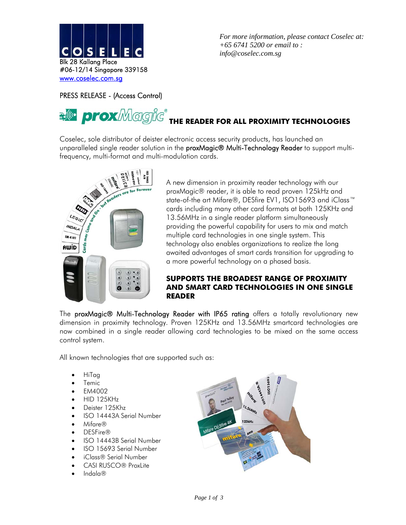

*For more information, please contact Coselec at: +65 6741 5200 or email to : info@coselec.com.sg* 

## PRESS RELEASE - (Access Control)

### **El<sup>le</sup> prox**Magic® **THE READER FOR ALL PROXIMITY TECHNOLOGIES**

Coselec, sole distributor of deister electronic access security products, has launched an unparalleled single reader solution in the **proxMagic® Multi-Technology Reader** to support multifrequency, multi-format and multi-modulation cards.



A new dimension in proximity reader technology with our proxMagic® reader, it is able to read proven 125kHz and state-of-the art Mifare®, DESfire EV1, ISO15693 and iClass<sup>™</sup> cards including many other card formats at both 125KHz and 13.56MHz in a single reader platform simultaneously providing the powerful capability for users to mix and match multiple card technologies in one single system. This technology also enables organizations to realize the long awaited advantages of smart cards transition for upgrading to a more powerful technology on a phased basis.

#### **SUPPORTS THE BROADEST RANGE OF PROXIMITY AND SMART CARD TECHNOLOGIES IN ONE SINGLE READER**

The proxMagic<sup>®</sup> Multi-Technology Reader with IP65 rating offers a totally revolutionary new dimension in proximity technology. Proven 125KHz and 13.56MHz smartcard technologies are now combined in a single reader allowing card technologies to be mixed on the same access control system.

All known technologies that are supported such as:

- HiTag
- **Temic**
- EM4002
- HID 125KHz
- Deister 125Khz
- ISO 14443A Serial Number
- Mifare®
- DESFire*®*
- ISO 14443B Serial Number
- ISO 15693 Serial Number
- iClass*®* Serial Number
- CASI RUSCO® ProxLite
- Indala®

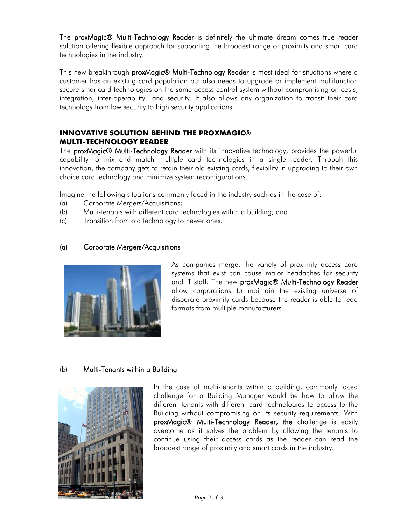The proxMagic<sup>®</sup> Multi-Technology Reader is definitely the ultimate dream comes true reader solution offering flexible approach for supporting the broadest range of proximity and smart card technologies in the industry.

This new breakthrough **proxMagic® Multi-Technology Reader** is most ideal for situations where a customer has an existing card population but also needs to upgrade or implement multifunction secure smartcard technologies on the same access control system without compromising on costs, integration, inter-operability and security. It also allows any organization to transit their card technology from low security to high security applications.

# **INNOVATIVE SOLUTION BEHIND THE PROXMAGIC® MULTI-TECHNOLOGY READER**

The proxMagic® Multi-Technology Reader with its innovative technology, provides the powerful capability to mix and match multiple card technologies in a single reader. Through this innovation, the company gets to retain their old existing cards, flexibility in upgrading to their own choice card technology and minimize system reconfigurations.

Imagine the following situations commonly faced in the industry such as in the case of:

- (a) Corporate Mergers/Acquisitions;
- (b) Multi-tenants with different card technologies within a building; and
- (c) Transition from old technology to newer ones.

## (a) Corporate Mergers/Acquisitions



As companies merge, the variety of proximity access card systems that exist can cause major headaches for security and IT staff. The new proxMagic® Multi-Technology Reader allow corporations to maintain the existing universe of disparate proximity cards because the reader is able to read formats from multiple manufacturers.

# (b) Multi-Tenants within a Building



In the case of multi-tenants within a building, commonly faced challenge for a Building Manager would be how to allow the different tenants with different card technologies to access to the Building without compromising on its security requirements. With proxMagic® Multi-Technology Reader, the challenge is easily overcome as it solves the problem by allowing the tenants to continue using their access cards as the reader can read the broadest range of proximity and smart cards in the industry.